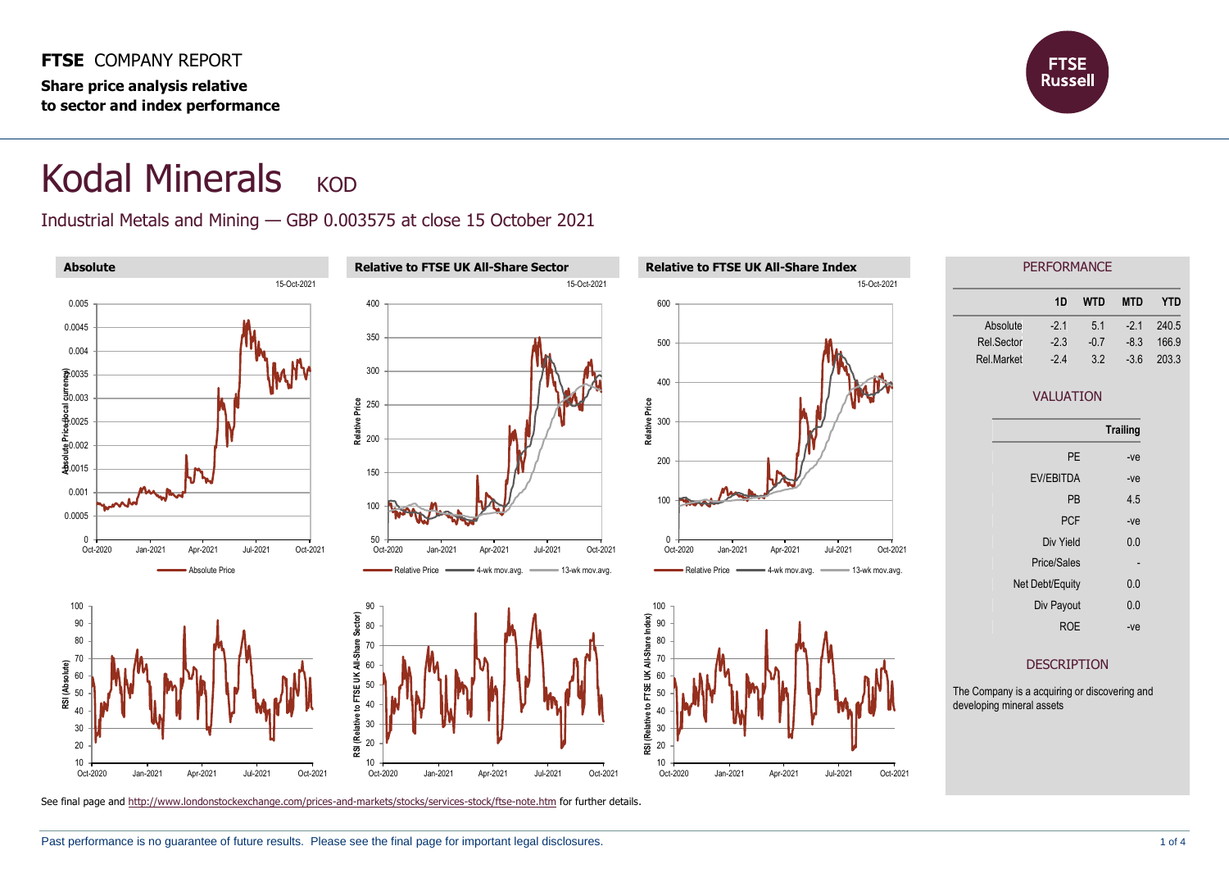**FTSE** COMPANY REPORT **Share price analysis relative to sector and index performance**



## Kodal Minerals KOD

## Industrial Metals and Mining — GBP 0.003575 at close 15 October 2021

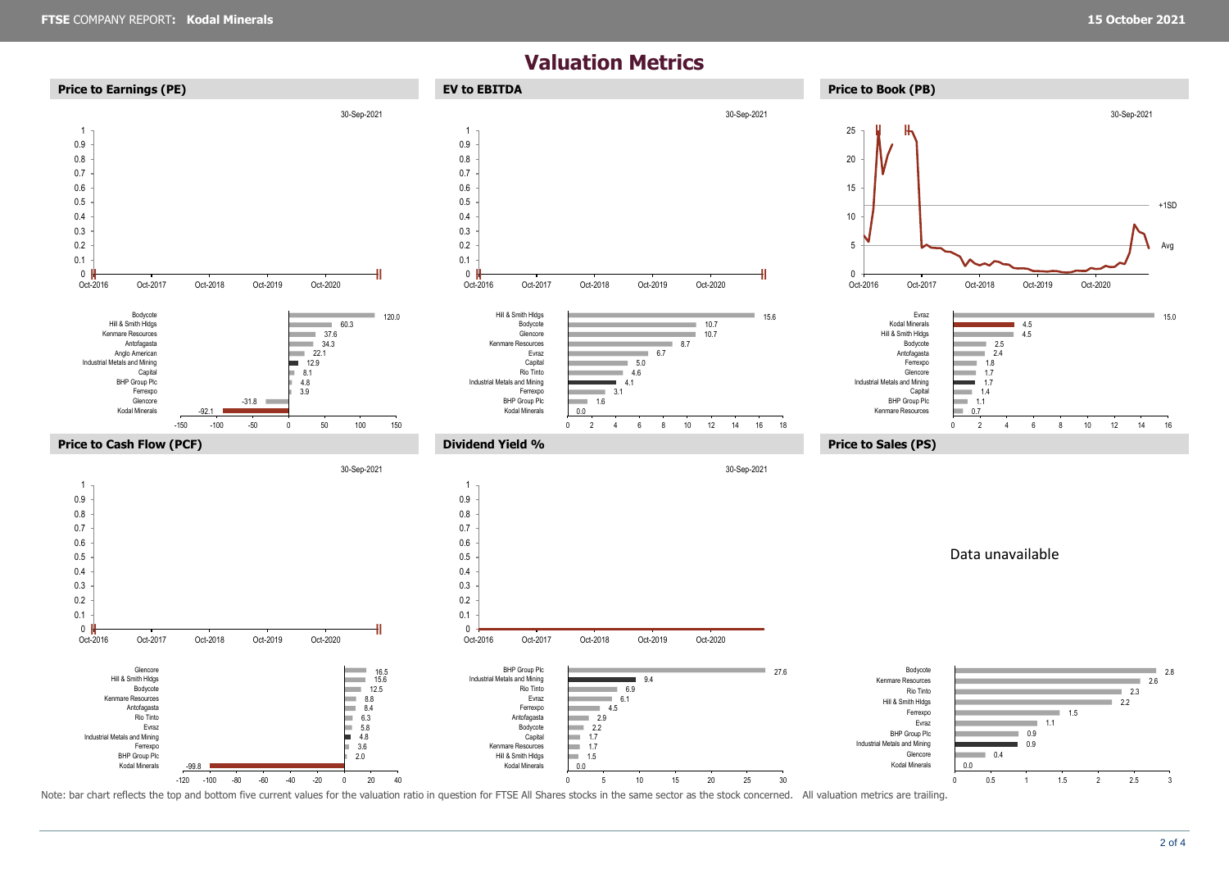## **Valuation Metrics**



Note: bar chart reflects the top and bottom five current values for the valuation ratio in question for FTSE All Shares stocks in the same sector as the stock concerned. All valuation metrics are trailing.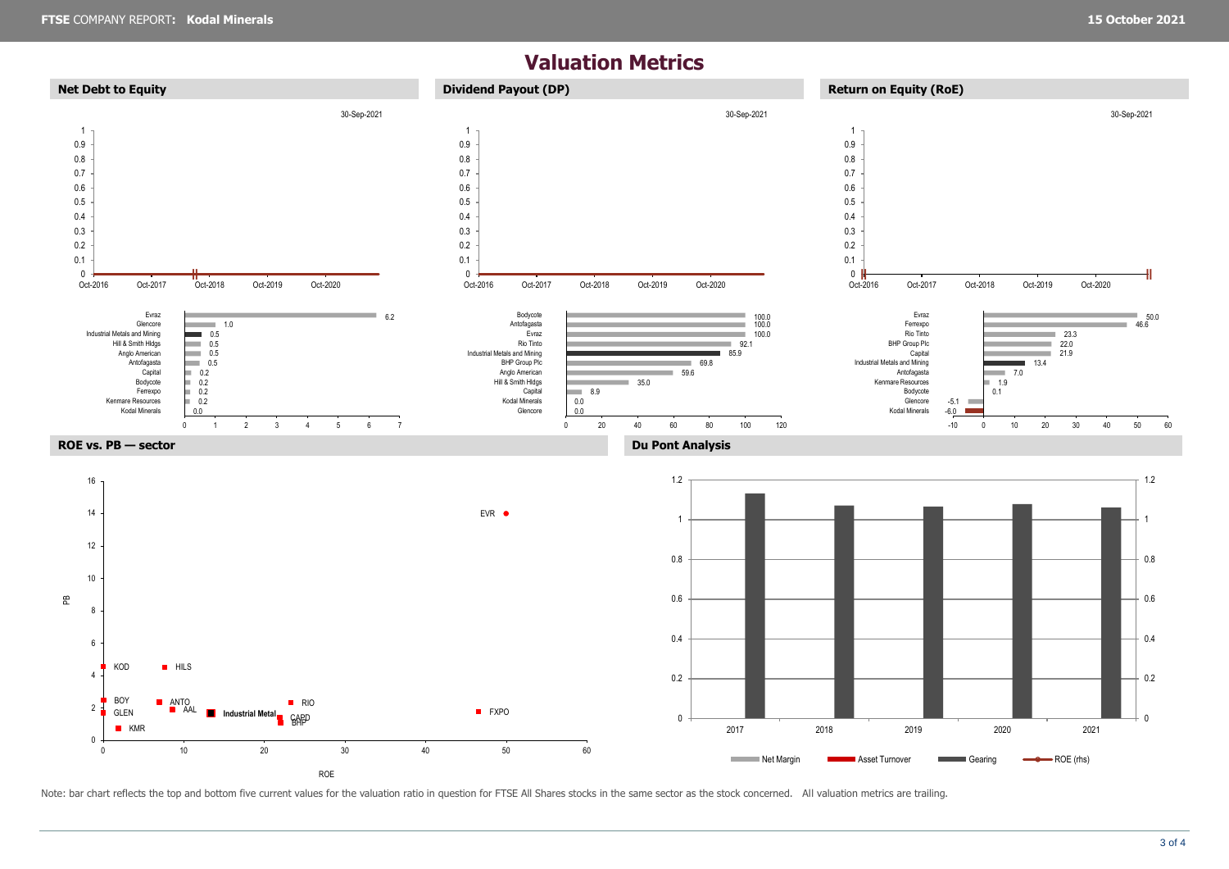## **Valuation Metrics**



Note: bar chart reflects the top and bottom five current values for the valuation ratio in question for FTSE All Shares stocks in the same sector as the stock concerned. All valuation metrics are trailing.